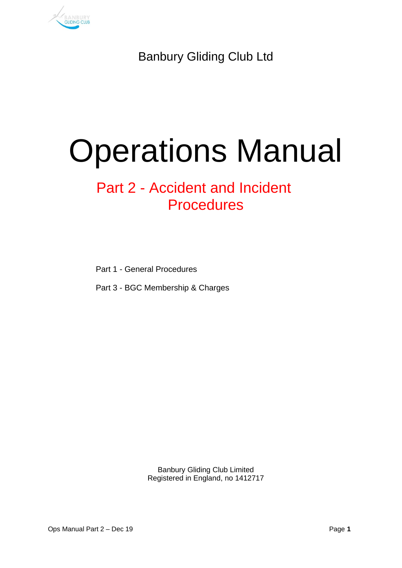

Banbury Gliding Club Ltd

# Operations Manual

# Part 2 - Accident and Incident Procedures

Part 1 - General Procedures

Part 3 - BGC Membership & Charges

Banbury Gliding Club Limited Registered in England, no 1412717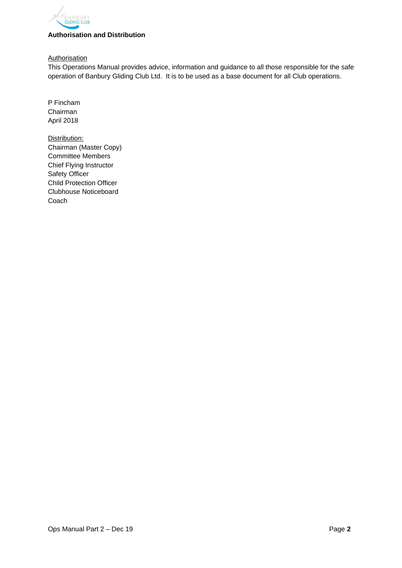

#### **Authorisation and Distribution**

**Authorisation** 

This Operations Manual provides advice, information and guidance to all those responsible for the safe operation of Banbury Gliding Club Ltd. It is to be used as a base document for all Club operations.

P Fincham Chairman April 2018

Distribution: Chairman (Master Copy) Committee Members Chief Flying Instructor Safety Officer Child Protection Officer Clubhouse Noticeboard Coach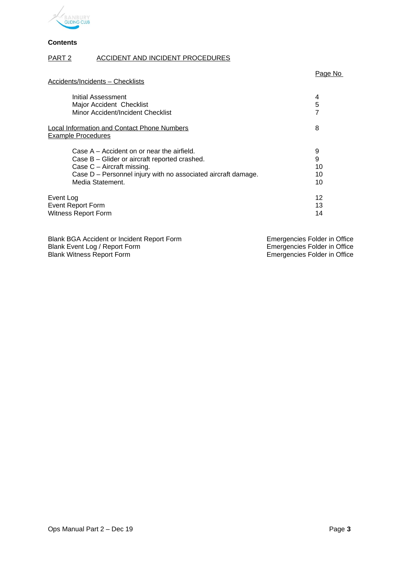

**Contents**

#### PART 2 ACCIDENT AND INCIDENT PROCEDURES

| Accidents/Incidents - Checklists                                         | Page No |
|--------------------------------------------------------------------------|---------|
| Initial Assessment                                                       | 4       |
| Major Accident Checklist                                                 | 5       |
| Minor Accident/Incident Checklist                                        | 7       |
| Local Information and Contact Phone Numbers<br><b>Example Procedures</b> | 8       |
| Case $A - Accident$ on or near the airfield.                             | 9       |
| Case B - Glider or aircraft reported crashed.                            | 9       |
| Case $C -$ Aircraft missing.                                             | 10      |
| Case D - Personnel injury with no associated aircraft damage.            | 10      |
| Media Statement.                                                         | 10      |
| Event Log                                                                | 12      |
| <b>Event Report Form</b>                                                 | 13      |
| <b>Witness Report Form</b>                                               | 14      |

| Blank BGA Accident or Incident Report Form | Emergencies Folder in Office |
|--------------------------------------------|------------------------------|
| Blank Event Log / Report Form              | Emergencies Folder in Office |
| Blank Witness Report Form                  | Emergencies Folder in Office |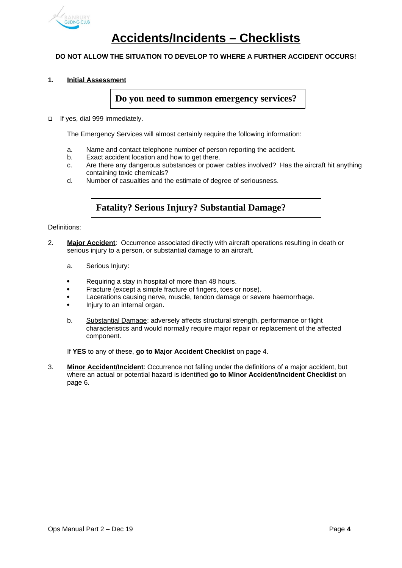

## **Accidents/Incidents – Checklists**

#### **DO NOT ALLOW THE SITUATION TO DEVELOP TO WHERE A FURTHER ACCIDENT OCCURS**!

#### **1. Initial Assessment**

**Do you need to summon emergency services?**

If yes, dial 999 immediately.

The Emergency Services will almost certainly require the following information:

- a. Name and contact telephone number of person reporting the accident.
- b. Exact accident location and how to get there.
- c. Are there any dangerous substances or power cables involved? Has the aircraft hit anything containing toxic chemicals?
- d. Number of casualties and the estimate of degree of seriousness.

#### **Fatality? Serious Injury? Substantial Damage?**

Definitions:

- 2. **Major Accident**: Occurrence associated directly with aircraft operations resulting in death or serious injury to a person, or substantial damage to an aircraft.
	- a. Serious Injury:
	- Requiring a stay in hospital of more than 48 hours.
	- Fracture (except a simple fracture of fingers, toes or nose).
	- Lacerations causing nerve, muscle, tendon damage or severe haemorrhage.
	- Injury to an internal organ.
	- b. Substantial Damage: adversely affects structural strength, performance or flight characteristics and would normally require major repair or replacement of the affected component.

If **YES** to any of these, **go to Major Accident Checklist** on page 4.

3. **Minor Accident/Incident**: Occurrence not falling under the definitions of a major accident, but where an actual or potential hazard is identified **go to Minor Accident/Incident Checklist** on page 6.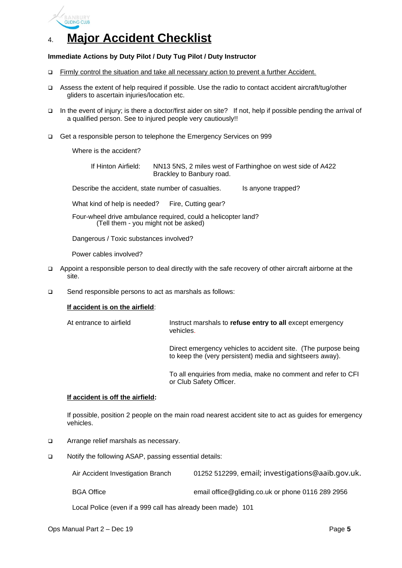

## 4. **Major Accident Checklist**

#### **Immediate Actions by Duty Pilot / Duty Tug Pilot / Duty Instructor**

- Firmly control the situation and take all necessary action to prevent a further Accident.
- Assess the extent of help required if possible. Use the radio to contact accident aircraft/tug/other gliders to ascertain injuries/location etc.
- In the event of injury; is there a doctor/first aider on site? If not, help if possible pending the arrival of a qualified person. See to injured people very cautiously!!
- Get a responsible person to telephone the Emergency Services on 999

Where is the accident?

If Hinton Airfield: NN13 5NS, 2 miles west of Farthinghoe on west side of A422 Brackley to Banbury road.

Describe the accident, state number of casualties. Is anyone trapped?

What kind of help is needed? Fire, Cutting gear?

Four-wheel drive ambulance required, could a helicopter land? (Tell them - you might not be asked)

Dangerous / Toxic substances involved?

Power cables involved?

- Appoint a responsible person to deal directly with the safe recovery of other aircraft airborne at the site.
- □ Send responsible persons to act as marshals as follows:

#### **If accident is on the airfield**:

At entrance to airfield Instruct marshals to **refuse entry to all** except emergency vehicles.

> Direct emergency vehicles to accident site. (The purpose being to keep the (very persistent) media and sightseers away).

> To all enquiries from media, make no comment and refer to CFI or Club Safety Officer.

#### **If accident is off the airfield:**

If possible, position 2 people on the main road nearest accident site to act as guides for emergency vehicles.

- □ Arrange relief marshals as necessary.
- □ Notify the following ASAP, passing essential details:

Air Accident Investigation Branch 01252 512299, email; [investigations@aaib.gov.uk](mailto:investigations@aaib.gov.uk).

BGA Office **EMA ENGLIFE EMAIL CONCORDING EDGA** Office @gliding.co.uk or phone 0116 289 2956

Local Police (even if a 999 call has already been made) 101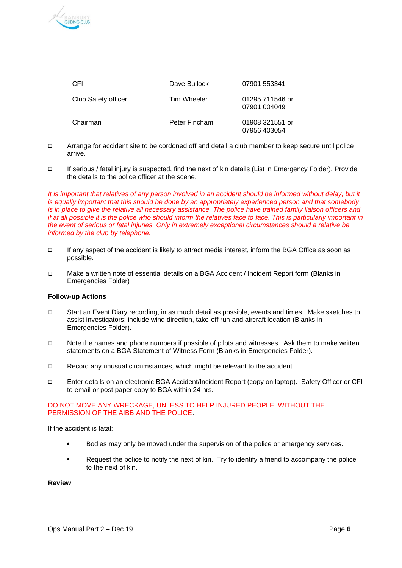

| CFI                 | Dave Bullock  | 07901 553341                    |
|---------------------|---------------|---------------------------------|
| Club Safety officer | Tim Wheeler   | 01295 711546 or<br>07901 004049 |
| Chairman            | Peter Fincham | 01908 321551 or<br>07956 403054 |

- Arrange for accident site to be cordoned off and detail a club member to keep secure until police arrive.
- If serious / fatal injury is suspected, find the next of kin details (List in Emergency Folder). Provide the details to the police officer at the scene.

It is important that relatives of any person involved in an accident should be informed without delay, but it *is equally important that this should be done by an appropriately experienced person and that somebody is in place to give the relative all necessary assistance. The police have trained family liaison officers and if at all possible it is the police who should inform the relatives face to face. This is particularly important in the event of serious or fatal injuries. Only in extremely exceptional circumstances should a relative be informed by the club by telephone.*

- If any aspect of the accident is likely to attract media interest, inform the BGA Office as soon as possible.
- Make a written note of essential details on a BGA Accident / Incident Report form (Blanks in Emergencies Folder)

#### **Follow-up Actions**

- Start an Event Diary recording, in as much detail as possible, events and times. Make sketches to assist investigators; include wind direction, take-off run and aircraft location (Blanks in Emergencies Folder).
- Note the names and phone numbers if possible of pilots and witnesses. Ask them to make written statements on a BGA Statement of Witness Form (Blanks in Emergencies Folder).
- Record any unusual circumstances, which might be relevant to the accident.
- Enter details on an electronic BGA Accident/Incident Report (copy on laptop). Safety Officer or CFI to email or post paper copy to BGA within 24 hrs.

#### DO NOT MOVE ANY WRECKAGE, UNLESS TO HELP INJURED PEOPLE, WITHOUT THE PERMISSION OF THE AIBB AND THE POLICE.

If the accident is fatal:

- Bodies may only be moved under the supervision of the police or emergency services.
- Request the police to notify the next of kin. Try to identify a friend to accompany the police to the next of kin.

#### **Review**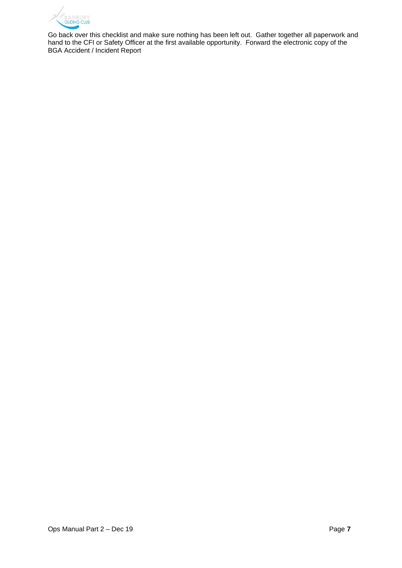

Go back over this checklist and make sure nothing has been left out. Gather together all paperwork and hand to the CFI or Safety Officer at the first available opportunity. Forward the electronic copy of the BGA Accident / Incident Report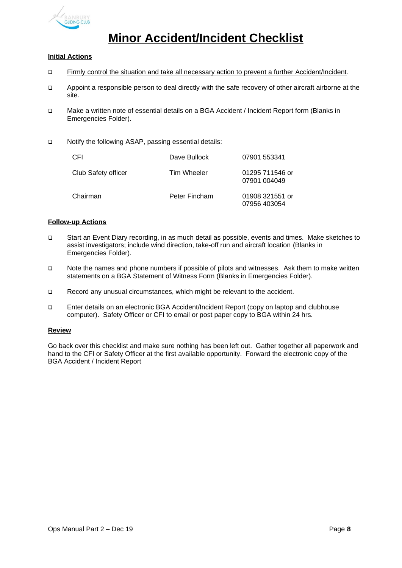

## **Minor Accident/Incident Checklist**

#### **Initial Actions**

- Firmly control the situation and take all necessary action to prevent a further Accident/Incident.
- Appoint a responsible person to deal directly with the safe recovery of other aircraft airborne at the site.
- Make a written note of essential details on a BGA Accident / Incident Report form (Blanks in Emergencies Folder).
- □ Notify the following ASAP, passing essential details:

| <b>CFI</b>          | Dave Bullock  | 07901 553341                    |
|---------------------|---------------|---------------------------------|
| Club Safety officer | Tim Wheeler   | 01295 711546 or<br>07901 004049 |
| Chairman            | Peter Fincham | 01908 321551 or<br>07956 403054 |

#### **Follow-up Actions**

- Start an Event Diary recording, in as much detail as possible, events and times. Make sketches to assist investigators; include wind direction, take-off run and aircraft location (Blanks in Emergencies Folder).
- Note the names and phone numbers if possible of pilots and witnesses. Ask them to make written statements on a BGA Statement of Witness Form (Blanks in Emergencies Folder).
- Record any unusual circumstances, which might be relevant to the accident.
- Enter details on an electronic BGA Accident/Incident Report (copy on laptop and clubhouse computer). Safety Officer or CFI to email or post paper copy to BGA within 24 hrs.

#### **Review**

Go back over this checklist and make sure nothing has been left out. Gather together all paperwork and hand to the CFI or Safety Officer at the first available opportunity. Forward the electronic copy of the BGA Accident / Incident Report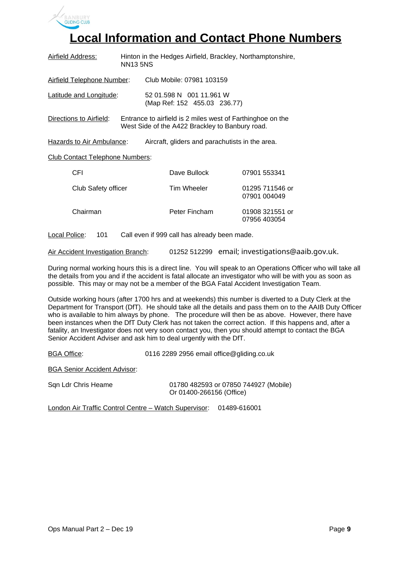

## **Local Information and Contact Phone Numbers**

| Airfield Address:                      | Hinton in the Hedges Airfield, Brackley, Northamptonshire,<br><b>NN13 5NS</b> |                                                                                                               |                                 |
|----------------------------------------|-------------------------------------------------------------------------------|---------------------------------------------------------------------------------------------------------------|---------------------------------|
| Airfield Telephone Number:             |                                                                               | Club Mobile: 07981 103159                                                                                     |                                 |
| Latitude and Longitude:                |                                                                               | 52 01.598 N 001 11.961 W<br>(Map Ref: 152 455.03 236.77)                                                      |                                 |
| Directions to Airfield:                |                                                                               | Entrance to airfield is 2 miles west of Farthinghoe on the<br>West Side of the A422 Brackley to Banbury road. |                                 |
| Hazards to Air Ambulance:              |                                                                               | Aircraft, gliders and parachutists in the area.                                                               |                                 |
| <b>Club Contact Telephone Numbers:</b> |                                                                               |                                                                                                               |                                 |
| CFI.                                   |                                                                               | Dave Bullock                                                                                                  | 07901 553341                    |
| Club Safety officer                    |                                                                               | Tim Wheeler                                                                                                   | 01295 711546 or<br>07901 004049 |
| Chairman                               |                                                                               | Peter Fincham                                                                                                 | 01908 321551 or<br>07956 403054 |

Local Police: 101 Call even if 999 call has already been made.

Air Accident Investigation Branch: 01252 512299 email; [investigations@aaib.gov.uk.](mailto:investigations@aaib.gov.uk)

During normal working hours this is a direct line. You will speak to an Operations Officer who will take all the details from you and if the accident is fatal allocate an investigator who will be with you as soon as possible. This may or may not be a member of the BGA Fatal Accident Investigation Team.

Outside working hours (after 1700 hrs and at weekends) this number is diverted to a Duty Clerk at the Department for Transport (DfT). He should take all the details and pass them on to the AAIB Duty Officer who is available to him always by phone. The procedure will then be as above. However, there have been instances when the DfT Duty Clerk has not taken the correct action. If this happens and, after a fatality, an Investigator does not very soon contact you, then you should attempt to contact the BGA Senior Accident Adviser and ask him to deal urgently with the DfT.

BGA Office: 0116 2289 2956 email [office@gliding.co.uk](mailto:office@gliding.co.uk)

BGA Senior Accident Advisor:

| Sqn Ldr Chris Heame | 01780 482593 or 07850 744927 (Mobile) |
|---------------------|---------------------------------------|
|                     | Or 01400-266156 (Office)              |

London Air Traffic Control Centre – Watch Supervisor: 01489-616001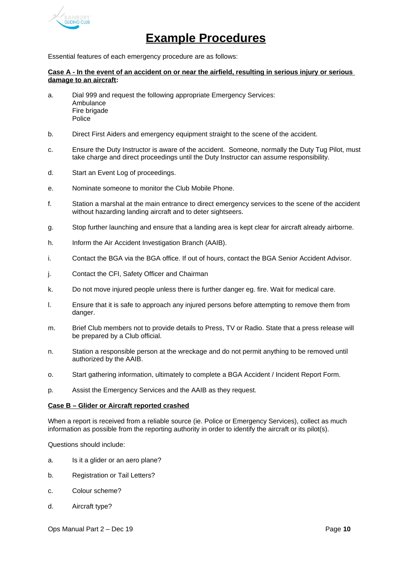

### **Example Procedures**

Essential features of each emergency procedure are as follows:

#### **Case A - In the event of an accident on or near the airfield, resulting in serious injury or serious damage to an aircraft:**

- a. Dial 999 and request the following appropriate Emergency Services: Ambulance Fire brigade Police
- b. Direct First Aiders and emergency equipment straight to the scene of the accident.
- c. Ensure the Duty Instructor is aware of the accident. Someone, normally the Duty Tug Pilot, must take charge and direct proceedings until the Duty Instructor can assume responsibility.
- d. Start an Event Log of proceedings.
- e. Nominate someone to monitor the Club Mobile Phone.
- f. Station a marshal at the main entrance to direct emergency services to the scene of the accident without hazarding landing aircraft and to deter sightseers.
- g. Stop further launching and ensure that a landing area is kept clear for aircraft already airborne.
- h. Inform the Air Accident Investigation Branch (AAIB).
- i. Contact the BGA via the BGA office. If out of hours, contact the BGA Senior Accident Advisor.
- j. Contact the CFI, Safety Officer and Chairman
- k. Do not move injured people unless there is further danger eg. fire. Wait for medical care.
- l. Ensure that it is safe to approach any injured persons before attempting to remove them from danger.
- m. Brief Club members not to provide details to Press, TV or Radio. State that a press release will be prepared by a Club official.
- n. Station a responsible person at the wreckage and do not permit anything to be removed until authorized by the AAIB.
- o. Start gathering information, ultimately to complete a BGA Accident / Incident Report Form.
- p. Assist the Emergency Services and the AAIB as they request.

#### **Case B – Glider or Aircraft reported crashed**

When a report is received from a reliable source (ie. Police or Emergency Services), collect as much information as possible from the reporting authority in order to identify the aircraft or its pilot(s).

Questions should include:

- a. Is it a glider or an aero plane?
- b. Registration or Tail Letters?
- c. Colour scheme?
- d. Aircraft type?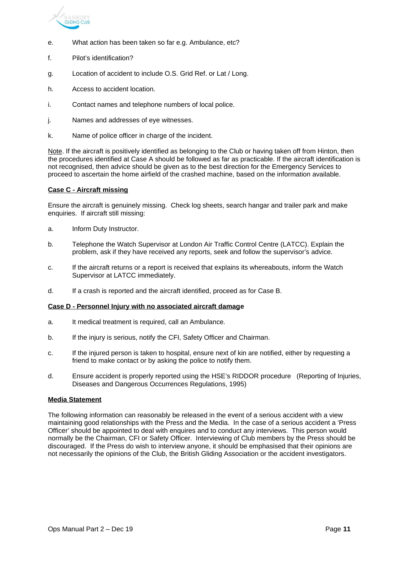

- e. What action has been taken so far e.g. Ambulance, etc?
- f. Pilot's identification?
- g. Location of accident to include O.S. Grid Ref. or Lat / Long.
- h. Access to accident location.
- i. Contact names and telephone numbers of local police.
- j. Names and addresses of eye witnesses.
- k. Name of police officer in charge of the incident.

Note. If the aircraft is positively identified as belonging to the Club or having taken off from Hinton, then the procedures identified at Case A should be followed as far as practicable. If the aircraft identification is not recognised, then advice should be given as to the best direction for the Emergency Services to proceed to ascertain the home airfield of the crashed machine, based on the information available.

#### **Case C - Aircraft missing**

Ensure the aircraft is genuinely missing. Check log sheets, search hangar and trailer park and make enquiries. If aircraft still missing:

- a. Inform Duty Instructor.
- b. Telephone the Watch Supervisor at London Air Traffic Control Centre (LATCC). Explain the problem, ask if they have received any reports, seek and follow the supervisor's advice.
- c. If the aircraft returns or a report is received that explains its whereabouts, inform the Watch Supervisor at LATCC immediately.
- d. If a crash is reported and the aircraft identified, proceed as for Case B.

#### **Case D - Personnel Injury with no associated aircraft damage**

- a. It medical treatment is required, call an Ambulance.
- b. If the injury is serious, notify the CFI, Safety Officer and Chairman.
- c. If the injured person is taken to hospital, ensure next of kin are notified, either by requesting a friend to make contact or by asking the police to notify them.
- d. Ensure accident is properly reported using the HSE's RIDDOR procedure (Reporting of Injuries, Diseases and Dangerous Occurrences Regulations, 1995)

#### **Media Statement**

The following information can reasonably be released in the event of a serious accident with a view maintaining good relationships with the Press and the Media. In the case of a serious accident a 'Press Officer' should be appointed to deal with enquires and to conduct any interviews. This person would normally be the Chairman, CFI or Safety Officer. Interviewing of Club members by the Press should be discouraged. If the Press do wish to interview anyone, it should be emphasised that their opinions are not necessarily the opinions of the Club, the British Gliding Association or the accident investigators.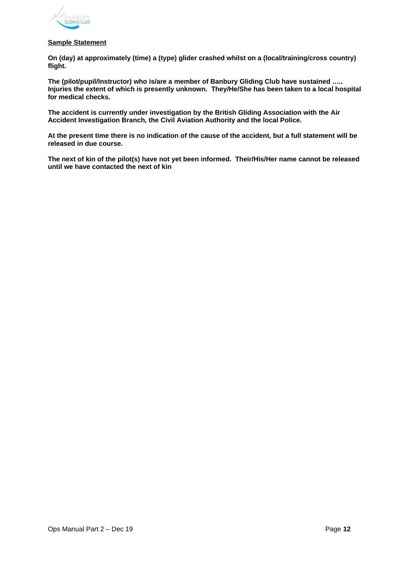

#### **Sample Statement**

**On (day) at approximately (time) a (type) glider crashed whilst on a (local/training/cross country) flight.**

**The (pilot/pupil/Instructor) who is/are a member of Banbury Gliding Club have sustained ….. Injuries the extent of which is presently unknown. They/He/She has been taken to a local hospital for medical checks.**

**The accident is currently under investigation by the British Gliding Association with the Air Accident Investigation Branch, the Civil Aviation Authority and the local Police.**

**At the present time there is no indication of the cause of the accident, but a full statement will be released in due course.**

**The next of kin of the pilot(s) have not yet been informed. Their/His/Her name cannot be released until we have contacted the next of kin**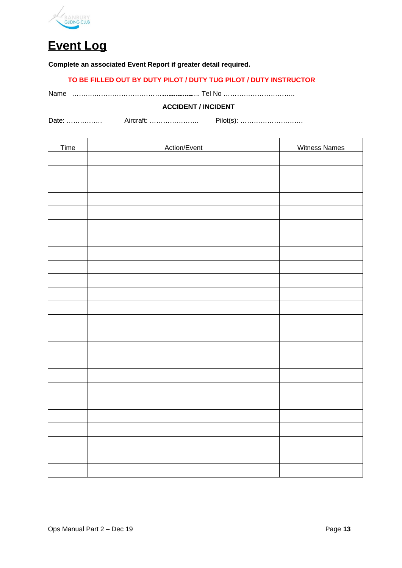

**Event Log**

#### **Complete an associated Event Report if greater detail required.**

#### **TO BE FILLED OUT BY DUTY PILOT / DUTY TUG PILOT / DUTY INSTRUCTOR**

Name ……….…………………………………….. …………….. Tel No …………………………..

#### **ACCIDENT / INCIDENT**

Date: ……………. Aircraft: …………………. Pilot(s): ……………………….

| Time | Action/Event | <b>Witness Names</b> |
|------|--------------|----------------------|
|      |              |                      |
|      |              |                      |
|      |              |                      |
|      |              |                      |
|      |              |                      |
|      |              |                      |
|      |              |                      |
|      |              |                      |
|      |              |                      |
|      |              |                      |
|      |              |                      |
|      |              |                      |
|      |              |                      |
|      |              |                      |
|      |              |                      |
|      |              |                      |
|      |              |                      |
|      |              |                      |
|      |              |                      |
|      |              |                      |
|      |              |                      |
|      |              |                      |
|      |              |                      |
|      |              |                      |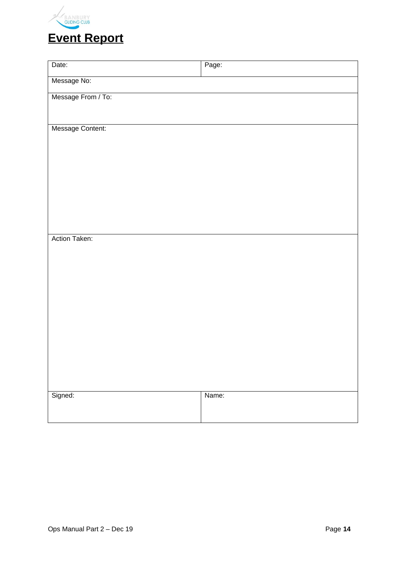

| Date:              | Page: |
|--------------------|-------|
| Message No:        |       |
| Message From / To: |       |
|                    |       |
| Message Content:   |       |
|                    |       |
|                    |       |
|                    |       |
|                    |       |
|                    |       |
|                    |       |
| Action Taken:      |       |
|                    |       |
|                    |       |
|                    |       |
|                    |       |
|                    |       |
|                    |       |
|                    |       |
|                    |       |
|                    |       |
| Signed:            | Name: |
|                    |       |